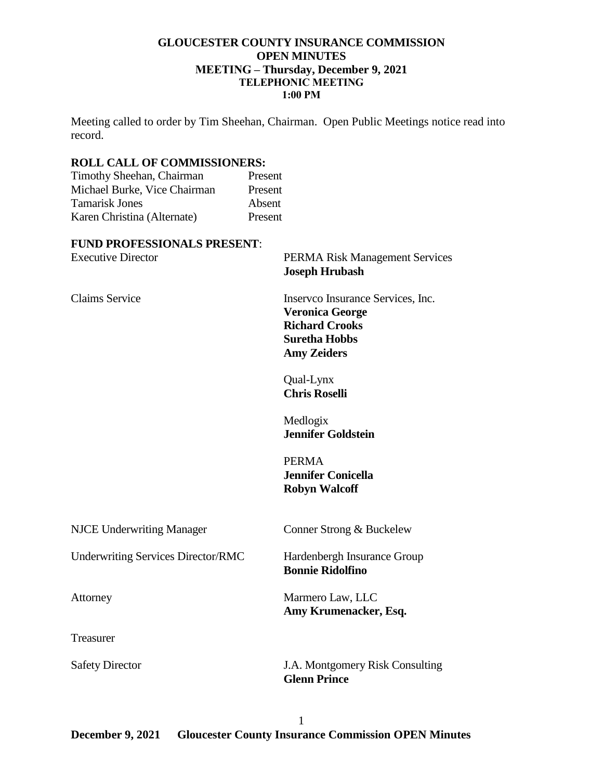## **GLOUCESTER COUNTY INSURANCE COMMISSION OPEN MINUTES MEETING – Thursday, December 9, 2021 TELEPHONIC MEETING 1:00 PM**

Meeting called to order by Tim Sheehan, Chairman. Open Public Meetings notice read into record.

# **ROLL CALL OF COMMISSIONERS:**

Timothy Sheehan, Chairman Present Michael Burke, Vice Chairman Present Tamarisk Jones Absent Karen Christina (Alternate) Present

### **FUND PROFESSIONALS PRESENT**:

| <b>Executive Director</b>                 | <b>PERMA Risk Management Services</b><br><b>Joseph Hrubash</b>                                                                     |
|-------------------------------------------|------------------------------------------------------------------------------------------------------------------------------------|
| <b>Claims Service</b>                     | Inserveo Insurance Services, Inc.<br><b>Veronica George</b><br><b>Richard Crooks</b><br><b>Suretha Hobbs</b><br><b>Amy Zeiders</b> |
|                                           | Qual-Lynx<br><b>Chris Roselli</b>                                                                                                  |
|                                           | Medlogix<br><b>Jennifer Goldstein</b>                                                                                              |
|                                           | <b>PERMA</b><br><b>Jennifer Conicella</b><br><b>Robyn Walcoff</b>                                                                  |
| <b>NJCE Underwriting Manager</b>          | Conner Strong & Buckelew                                                                                                           |
| <b>Underwriting Services Director/RMC</b> | Hardenbergh Insurance Group<br><b>Bonnie Ridolfino</b>                                                                             |
| Attorney                                  | Marmero Law, LLC<br>Amy Krumenacker, Esq.                                                                                          |
| Treasurer                                 |                                                                                                                                    |
| <b>Safety Director</b>                    | J.A. Montgomery Risk Consulting<br><b>Glenn Prince</b>                                                                             |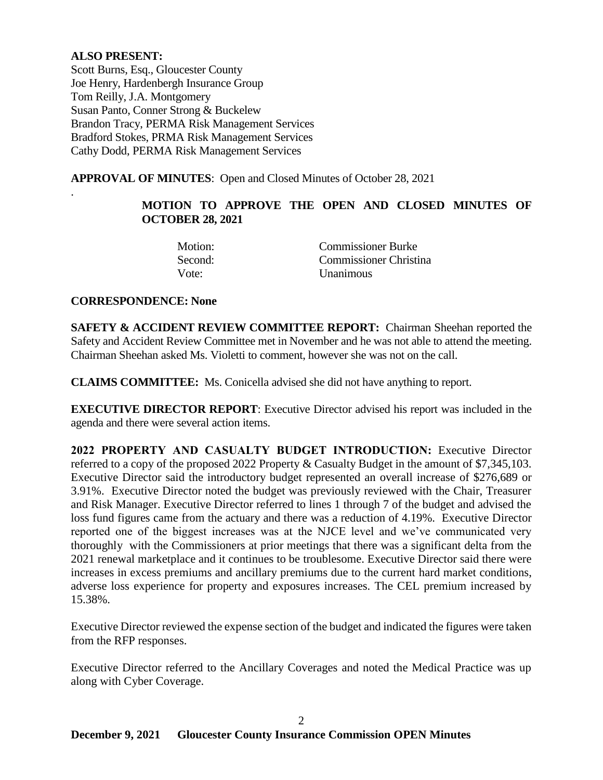## **ALSO PRESENT:**

.

Scott Burns, Esq., Gloucester County Joe Henry, Hardenbergh Insurance Group Tom Reilly, J.A. Montgomery Susan Panto, Conner Strong & Buckelew Brandon Tracy, PERMA Risk Management Services Bradford Stokes, PRMA Risk Management Services Cathy Dodd, PERMA Risk Management Services

**APPROVAL OF MINUTES**: Open and Closed Minutes of October 28, 2021

# **MOTION TO APPROVE THE OPEN AND CLOSED MINUTES OF OCTOBER 28, 2021**

| Motion: | <b>Commissioner Burke</b> |
|---------|---------------------------|
| Second: | Commissioner Christina    |
| Vote:   | <b>Unanimous</b>          |

## **CORRESPONDENCE: None**

**SAFETY & ACCIDENT REVIEW COMMITTEE REPORT:** Chairman Sheehan reported the Safety and Accident Review Committee met in November and he was not able to attend the meeting. Chairman Sheehan asked Ms. Violetti to comment, however she was not on the call.

**CLAIMS COMMITTEE:** Ms. Conicella advised she did not have anything to report.

**EXECUTIVE DIRECTOR REPORT**: Executive Director advised his report was included in the agenda and there were several action items.

**2022 PROPERTY AND CASUALTY BUDGET INTRODUCTION:** Executive Director referred to a copy of the proposed 2022 Property & Casualty Budget in the amount of \$7,345,103. Executive Director said the introductory budget represented an overall increase of \$276,689 or 3.91%. Executive Director noted the budget was previously reviewed with the Chair, Treasurer and Risk Manager. Executive Director referred to lines 1 through 7 of the budget and advised the loss fund figures came from the actuary and there was a reduction of 4.19%. Executive Director reported one of the biggest increases was at the NJCE level and we've communicated very thoroughly with the Commissioners at prior meetings that there was a significant delta from the 2021 renewal marketplace and it continues to be troublesome. Executive Director said there were increases in excess premiums and ancillary premiums due to the current hard market conditions, adverse loss experience for property and exposures increases. The CEL premium increased by 15.38%.

Executive Director reviewed the expense section of the budget and indicated the figures were taken from the RFP responses.

Executive Director referred to the Ancillary Coverages and noted the Medical Practice was up along with Cyber Coverage.

2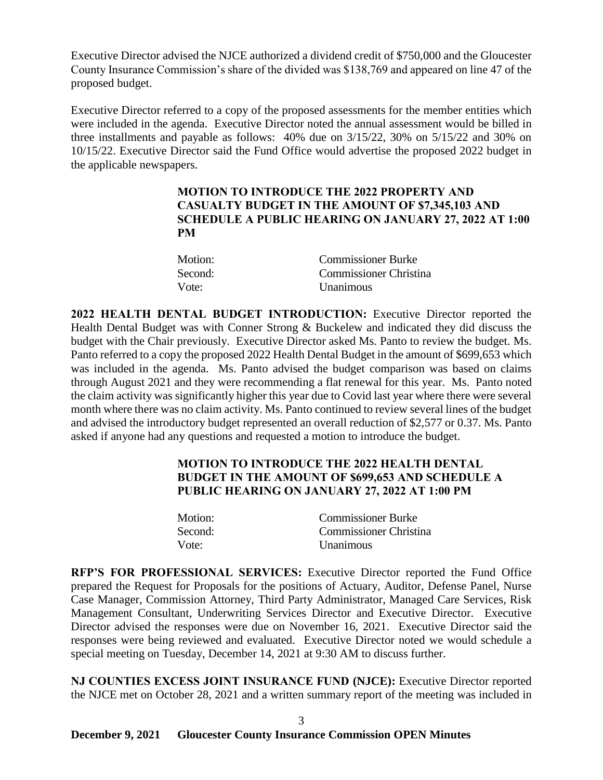Executive Director advised the NJCE authorized a dividend credit of \$750,000 and the Gloucester County Insurance Commission's share of the divided was \$138,769 and appeared on line 47 of the proposed budget.

Executive Director referred to a copy of the proposed assessments for the member entities which were included in the agenda. Executive Director noted the annual assessment would be billed in three installments and payable as follows: 40% due on 3/15/22, 30% on 5/15/22 and 30% on 10/15/22. Executive Director said the Fund Office would advertise the proposed 2022 budget in the applicable newspapers.

## **MOTION TO INTRODUCE THE 2022 PROPERTY AND CASUALTY BUDGET IN THE AMOUNT OF \$7,345,103 AND SCHEDULE A PUBLIC HEARING ON JANUARY 27, 2022 AT 1:00 PM**

| Motion: | <b>Commissioner Burke</b> |
|---------|---------------------------|
| Second: | Commissioner Christina    |
| Vote:   | <b>Unanimous</b>          |

**2022 HEALTH DENTAL BUDGET INTRODUCTION:** Executive Director reported the Health Dental Budget was with Conner Strong & Buckelew and indicated they did discuss the budget with the Chair previously. Executive Director asked Ms. Panto to review the budget. Ms. Panto referred to a copy the proposed 2022 Health Dental Budget in the amount of \$699,653 which was included in the agenda. Ms. Panto advised the budget comparison was based on claims through August 2021 and they were recommending a flat renewal for this year. Ms. Panto noted the claim activity was significantly higher this year due to Covid last year where there were several month where there was no claim activity. Ms. Panto continued to review several lines of the budget and advised the introductory budget represented an overall reduction of \$2,577 or 0.37. Ms. Panto asked if anyone had any questions and requested a motion to introduce the budget.

# **MOTION TO INTRODUCE THE 2022 HEALTH DENTAL BUDGET IN THE AMOUNT OF \$699,653 AND SCHEDULE A PUBLIC HEARING ON JANUARY 27, 2022 AT 1:00 PM**

| Motion: | <b>Commissioner Burke</b>     |
|---------|-------------------------------|
| Second: | <b>Commissioner Christina</b> |
| Vote:   | <b>Unanimous</b>              |

**RFP'S FOR PROFESSIONAL SERVICES:** Executive Director reported the Fund Office prepared the Request for Proposals for the positions of Actuary, Auditor, Defense Panel, Nurse Case Manager, Commission Attorney, Third Party Administrator, Managed Care Services, Risk Management Consultant, Underwriting Services Director and Executive Director. Executive Director advised the responses were due on November 16, 2021. Executive Director said the responses were being reviewed and evaluated. Executive Director noted we would schedule a special meeting on Tuesday, December 14, 2021 at 9:30 AM to discuss further.

**NJ COUNTIES EXCESS JOINT INSURANCE FUND (NJCE):** Executive Director reported the NJCE met on October 28, 2021 and a written summary report of the meeting was included in

3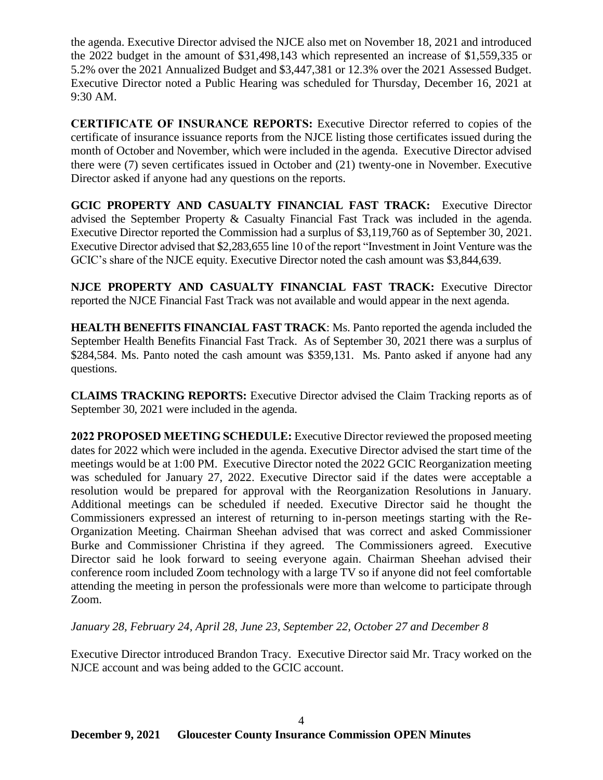the agenda. Executive Director advised the NJCE also met on November 18, 2021 and introduced the 2022 budget in the amount of \$31,498,143 which represented an increase of \$1,559,335 or 5.2% over the 2021 Annualized Budget and \$3,447,381 or 12.3% over the 2021 Assessed Budget. Executive Director noted a Public Hearing was scheduled for Thursday, December 16, 2021 at 9:30 AM.

**CERTIFICATE OF INSURANCE REPORTS:** Executive Director referred to copies of the certificate of insurance issuance reports from the NJCE listing those certificates issued during the month of October and November, which were included in the agenda. Executive Director advised there were (7) seven certificates issued in October and (21) twenty-one in November. Executive Director asked if anyone had any questions on the reports.

**GCIC PROPERTY AND CASUALTY FINANCIAL FAST TRACK:** Executive Director advised the September Property & Casualty Financial Fast Track was included in the agenda. Executive Director reported the Commission had a surplus of \$3,119,760 as of September 30, 2021. Executive Director advised that \$2,283,655 line 10 of the report "Investment in Joint Venture was the GCIC's share of the NJCE equity. Executive Director noted the cash amount was \$3,844,639.

**NJCE PROPERTY AND CASUALTY FINANCIAL FAST TRACK:** Executive Director reported the NJCE Financial Fast Track was not available and would appear in the next agenda.

**HEALTH BENEFITS FINANCIAL FAST TRACK**: Ms. Panto reported the agenda included the September Health Benefits Financial Fast Track. As of September 30, 2021 there was a surplus of \$284,584. Ms. Panto noted the cash amount was \$359,131. Ms. Panto asked if anyone had any questions.

**CLAIMS TRACKING REPORTS:** Executive Director advised the Claim Tracking reports as of September 30, 2021 were included in the agenda.

**2022 PROPOSED MEETING SCHEDULE:** Executive Director reviewed the proposed meeting dates for 2022 which were included in the agenda. Executive Director advised the start time of the meetings would be at 1:00 PM. Executive Director noted the 2022 GCIC Reorganization meeting was scheduled for January 27, 2022. Executive Director said if the dates were acceptable a resolution would be prepared for approval with the Reorganization Resolutions in January. Additional meetings can be scheduled if needed. Executive Director said he thought the Commissioners expressed an interest of returning to in-person meetings starting with the Re-Organization Meeting. Chairman Sheehan advised that was correct and asked Commissioner Burke and Commissioner Christina if they agreed. The Commissioners agreed. Executive Director said he look forward to seeing everyone again. Chairman Sheehan advised their conference room included Zoom technology with a large TV so if anyone did not feel comfortable attending the meeting in person the professionals were more than welcome to participate through Zoom.

*January 28, February 24, April 28, June 23, September 22, October 27 and December 8*

Executive Director introduced Brandon Tracy. Executive Director said Mr. Tracy worked on the NJCE account and was being added to the GCIC account.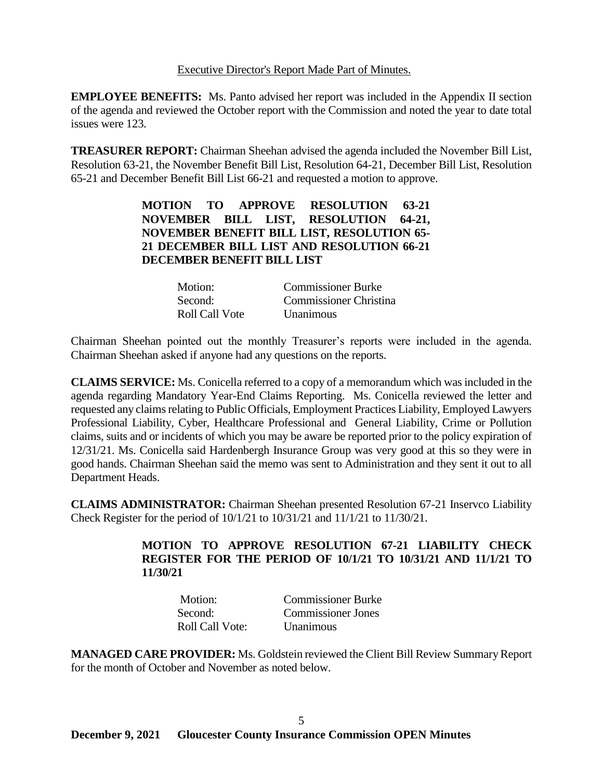### Executive Director's Report Made Part of Minutes.

**EMPLOYEE BENEFITS:** Ms. Panto advised her report was included in the Appendix II section of the agenda and reviewed the October report with the Commission and noted the year to date total issues were 123.

**TREASURER REPORT:** Chairman Sheehan advised the agenda included the November Bill List, Resolution 63-21, the November Benefit Bill List, Resolution 64-21, December Bill List, Resolution 65-21 and December Benefit Bill List 66-21 and requested a motion to approve.

> **MOTION TO APPROVE RESOLUTION 63-21 NOVEMBER BILL LIST, RESOLUTION 64-21, NOVEMBER BENEFIT BILL LIST, RESOLUTION 65- 21 DECEMBER BILL LIST AND RESOLUTION 66-21 DECEMBER BENEFIT BILL LIST**

| Motion:        | <b>Commissioner Burke</b> |
|----------------|---------------------------|
| Second:        | Commissioner Christina    |
| Roll Call Vote | <b>Unanimous</b>          |

Chairman Sheehan pointed out the monthly Treasurer's reports were included in the agenda. Chairman Sheehan asked if anyone had any questions on the reports.

**CLAIMS SERVICE:** Ms. Conicella referred to a copy of a memorandum which was included in the agenda regarding Mandatory Year-End Claims Reporting. Ms. Conicella reviewed the letter and requested any claims relating to Public Officials, Employment Practices Liability, Employed Lawyers Professional Liability, Cyber, Healthcare Professional and General Liability, Crime or Pollution claims, suits and or incidents of which you may be aware be reported prior to the policy expiration of 12/31/21. Ms. Conicella said Hardenbergh Insurance Group was very good at this so they were in good hands. Chairman Sheehan said the memo was sent to Administration and they sent it out to all Department Heads.

**CLAIMS ADMINISTRATOR:** Chairman Sheehan presented Resolution 67-21 Inservco Liability Check Register for the period of 10/1/21 to 10/31/21 and 11/1/21 to 11/30/21.

# **MOTION TO APPROVE RESOLUTION 67-21 LIABILITY CHECK REGISTER FOR THE PERIOD OF 10/1/21 TO 10/31/21 AND 11/1/21 TO 11/30/21**

| Motion:         | <b>Commissioner Burke</b> |
|-----------------|---------------------------|
| Second:         | <b>Commissioner Jones</b> |
| Roll Call Vote: | <b>Unanimous</b>          |

**MANAGED CARE PROVIDER:** Ms. Goldstein reviewed the Client Bill Review Summary Report for the month of October and November as noted below.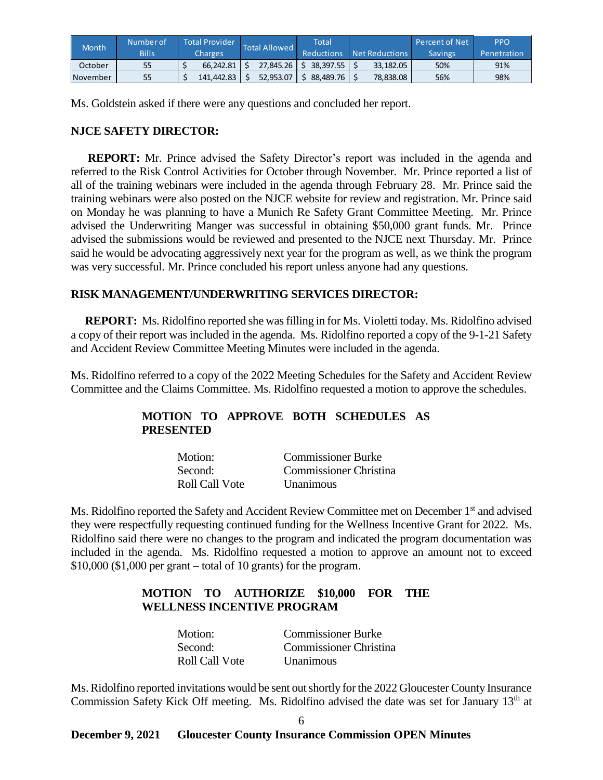| <b>Month</b> | Number of    | <b>Total Provider</b> | <b>Total Allowed</b> |           | Total             |  |                | <b>Percent of Net</b> | <b>PPO</b>  |
|--------------|--------------|-----------------------|----------------------|-----------|-------------------|--|----------------|-----------------------|-------------|
|              | <b>Bills</b> | Charges               |                      |           | <b>Reductions</b> |  | Net Reductions | <b>Savings</b>        | Penetration |
| October      | 55           | 66.242.81             |                      | 27.845.26 | 38.397.55         |  | 33.182.05      | 50%                   | 91%         |
| November     | 55           | 141.442.83            |                      | 52.953.07 | 88.489.76         |  | 78.838.08      | 56%                   | 98%         |

Ms. Goldstein asked if there were any questions and concluded her report.

### **NJCE SAFETY DIRECTOR:**

 **REPORT:** Mr. Prince advised the Safety Director's report was included in the agenda and referred to the Risk Control Activities for October through November. Mr. Prince reported a list of all of the training webinars were included in the agenda through February 28. Mr. Prince said the training webinars were also posted on the NJCE website for review and registration. Mr. Prince said on Monday he was planning to have a Munich Re Safety Grant Committee Meeting. Mr. Prince advised the Underwriting Manger was successful in obtaining \$50,000 grant funds. Mr. Prince advised the submissions would be reviewed and presented to the NJCE next Thursday. Mr. Prince said he would be advocating aggressively next year for the program as well, as we think the program was very successful. Mr. Prince concluded his report unless anyone had any questions.

## **RISK MANAGEMENT/UNDERWRITING SERVICES DIRECTOR:**

 **REPORT:** Ms. Ridolfino reported she was filling in for Ms. Violetti today. Ms. Ridolfino advised a copy of their report was included in the agenda. Ms. Ridolfino reported a copy of the 9-1-21 Safety and Accident Review Committee Meeting Minutes were included in the agenda.

Ms. Ridolfino referred to a copy of the 2022 Meeting Schedules for the Safety and Accident Review Committee and the Claims Committee. Ms. Ridolfino requested a motion to approve the schedules.

# **MOTION TO APPROVE BOTH SCHEDULES AS PRESENTED**

| Motion:        | <b>Commissioner Burke</b> |
|----------------|---------------------------|
| Second:        | Commissioner Christina    |
| Roll Call Vote | <b>Unanimous</b>          |

Ms. Ridolfino reported the Safety and Accident Review Committee met on December 1<sup>st</sup> and advised they were respectfully requesting continued funding for the Wellness Incentive Grant for 2022. Ms. Ridolfino said there were no changes to the program and indicated the program documentation was included in the agenda. Ms. Ridolfino requested a motion to approve an amount not to exceed \$10,000 (\$1,000 per grant – total of 10 grants) for the program.

# **MOTION TO AUTHORIZE \$10,000 FOR THE WELLNESS INCENTIVE PROGRAM**

| Motion:        | <b>Commissioner Burke</b> |
|----------------|---------------------------|
| Second:        | Commissioner Christina    |
| Roll Call Vote | <b>Unanimous</b>          |

Ms. Ridolfino reported invitations would be sent out shortly for the 2022 Gloucester County Insurance Commission Safety Kick Off meeting. Ms. Ridolfino advised the date was set for January 13<sup>th</sup> at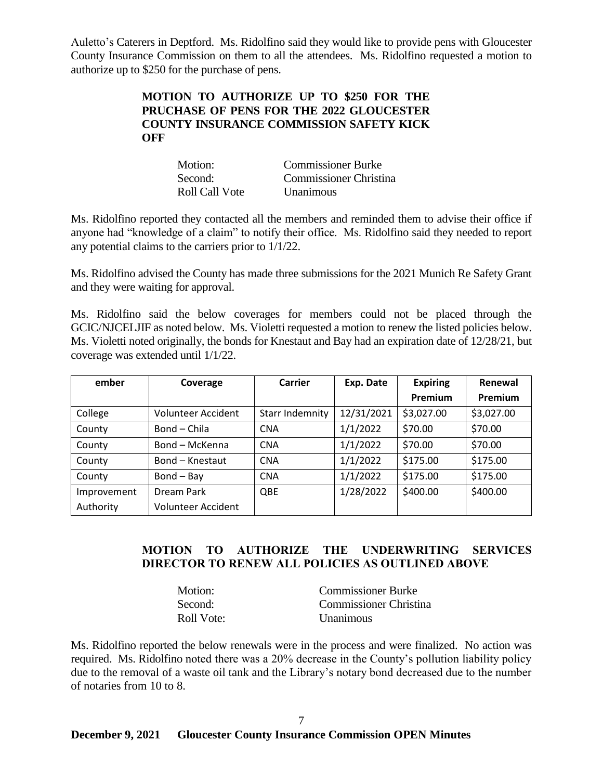Auletto's Caterers in Deptford. Ms. Ridolfino said they would like to provide pens with Gloucester County Insurance Commission on them to all the attendees. Ms. Ridolfino requested a motion to authorize up to \$250 for the purchase of pens.

## **MOTION TO AUTHORIZE UP TO \$250 FOR THE PRUCHASE OF PENS FOR THE 2022 GLOUCESTER COUNTY INSURANCE COMMISSION SAFETY KICK OFF**

| Motion:        | <b>Commissioner Burke</b>     |
|----------------|-------------------------------|
| Second:        | <b>Commissioner Christina</b> |
| Roll Call Vote | <i>Unanimous</i>              |

Ms. Ridolfino reported they contacted all the members and reminded them to advise their office if anyone had "knowledge of a claim" to notify their office. Ms. Ridolfino said they needed to report any potential claims to the carriers prior to 1/1/22.

Ms. Ridolfino advised the County has made three submissions for the 2021 Munich Re Safety Grant and they were waiting for approval.

Ms. Ridolfino said the below coverages for members could not be placed through the GCIC/NJCELJIF as noted below. Ms. Violetti requested a motion to renew the listed policies below. Ms. Violetti noted originally, the bonds for Knestaut and Bay had an expiration date of 12/28/21, but coverage was extended until 1/1/22.

| ember       | Coverage                   | Carrier                | Exp. Date  | <b>Expiring</b> | Renewal    |
|-------------|----------------------------|------------------------|------------|-----------------|------------|
|             |                            |                        |            | Premium         | Premium    |
| College     | <b>Volunteer Accident</b>  | <b>Starr Indemnity</b> | 12/31/2021 | \$3,027.00      | \$3,027.00 |
| County      | Bond - Chila<br><b>CNA</b> |                        | 1/1/2022   | \$70.00         | \$70.00    |
| County      | Bond - McKenna             | <b>CNA</b>             | 1/1/2022   | \$70.00         | \$70.00    |
| County      | Bond - Knestaut            | <b>CNA</b>             | 1/1/2022   | \$175.00        | \$175.00   |
| County      | $Bond - Bay$               | <b>CNA</b>             | 1/1/2022   | \$175.00        | \$175.00   |
| Improvement | Dream Park                 | QBE                    | 1/28/2022  | \$400.00        | \$400.00   |
| Authority   | <b>Volunteer Accident</b>  |                        |            |                 |            |

# **MOTION TO AUTHORIZE THE UNDERWRITING SERVICES DIRECTOR TO RENEW ALL POLICIES AS OUTLINED ABOVE**

| Motion:    | <b>Commissioner Burke</b> |
|------------|---------------------------|
| Second:    | Commissioner Christina    |
| Roll Vote: | <b>Unanimous</b>          |

Ms. Ridolfino reported the below renewals were in the process and were finalized. No action was required. Ms. Ridolfino noted there was a 20% decrease in the County's pollution liability policy due to the removal of a waste oil tank and the Library's notary bond decreased due to the number of notaries from 10 to 8.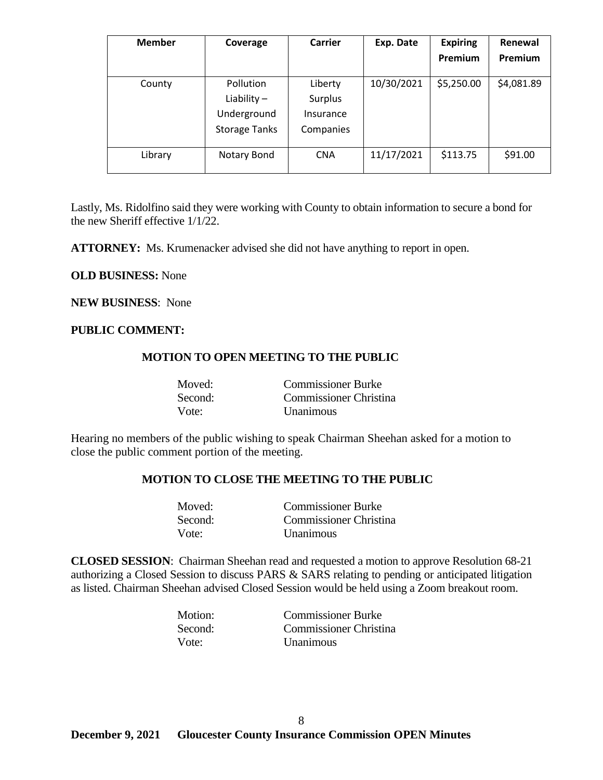| <b>Member</b> | Coverage                                  | <b>Carrier</b>                  | Exp. Date  | <b>Expiring</b> | Renewal    |
|---------------|-------------------------------------------|---------------------------------|------------|-----------------|------------|
|               |                                           |                                 |            | Premium         | Premium    |
| County        | Pollution<br>Liability $-$<br>Underground | Liberty<br>Surplus<br>Insurance | 10/30/2021 | \$5,250.00      | \$4,081.89 |
|               | <b>Storage Tanks</b>                      | Companies                       |            |                 |            |
| Library       | Notary Bond                               | <b>CNA</b>                      | 11/17/2021 | \$113.75        | \$91.00    |

Lastly, Ms. Ridolfino said they were working with County to obtain information to secure a bond for the new Sheriff effective 1/1/22.

**ATTORNEY:** Ms. Krumenacker advised she did not have anything to report in open.

### **OLD BUSINESS:** None

**NEW BUSINESS**: None

### **PUBLIC COMMENT:**

### **MOTION TO OPEN MEETING TO THE PUBLIC**

| Moved:  | <b>Commissioner Burke</b> |
|---------|---------------------------|
| Second: | Commissioner Christina    |
| Vote:   | <b>Unanimous</b>          |

Hearing no members of the public wishing to speak Chairman Sheehan asked for a motion to close the public comment portion of the meeting.

### **MOTION TO CLOSE THE MEETING TO THE PUBLIC**

| Moved:  | <b>Commissioner Burke</b> |
|---------|---------------------------|
| Second: | Commissioner Christina    |
| Vote:   | <b>Unanimous</b>          |

**CLOSED SESSION**: Chairman Sheehan read and requested a motion to approve Resolution 68-21 authorizing a Closed Session to discuss PARS & SARS relating to pending or anticipated litigation as listed. Chairman Sheehan advised Closed Session would be held using a Zoom breakout room.

| Motion: | <b>Commissioner Burke</b> |
|---------|---------------------------|
| Second: | Commissioner Christina    |
| Vote:   | <b>Unanimous</b>          |